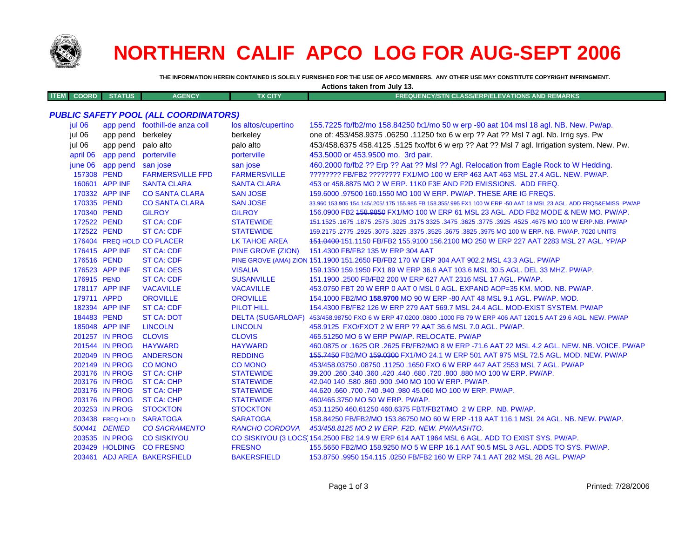

## **NORTHERN CALIF APCO LOG FOR AUG-SEPT 2006**

THE INFORMATION HEREIN CONTAINED IS SOLELY FURNISHED FOR THE USE OF APCO MEMBERS. ANY OTHER USE MAY CONSTITUTE COPYRIGHT INFRINGMENT.

Actions taken from July 13.

| <b>ITEM</b><br><b>COORD</b> | <b>STATUS</b>     | <b>AGENCY</b>                                | <b>TX CITY</b>        | <b>FREQUENCY/STN CLASS/ERP/ELEVATIONS AND REMARKS</b>                                                               |
|-----------------------------|-------------------|----------------------------------------------|-----------------------|---------------------------------------------------------------------------------------------------------------------|
|                             |                   |                                              |                       |                                                                                                                     |
|                             |                   | <b>PUBLIC SAFETY POOL (ALL COORDINATORS)</b> |                       |                                                                                                                     |
| jul 06                      |                   | app pend foothill-de anza coll               | los altos/cupertino   | 155.7225 fb/fb2/mo 158.84250 fx1/mo 50 w erp -90 aat 104 msl 18 agl. NB. New. Pw/ap.                                |
| jul 06                      | app pend          | berkeley                                     | berkeley              | one of: 453/458.9375 .06250 .11250 fxo 6 w erp ?? Aat ?? Msl 7 agl. Nb. Irrig sys. Pw                               |
| jul 06                      | app pend          | palo alto                                    | palo alto             | 453/458.6375 458.4125 .5125 fxo/fbt 6 w erp ?? Aat ?? Msl 7 agl. Irrigation system. New. Pw.                        |
|                             | april 06 app pend | porterville                                  | porterville           | 453.5000 or 453.9500 mo. 3rd pair.                                                                                  |
| june 06                     | app pend san jose |                                              | san jose              | 460.2000 fb/fb2 ?? Erp ?? Aat ?? Msl ?? Agl. Relocation from Eagle Rock to W Hedding.                               |
| 157308 PEND                 |                   | <b>FARMERSVILLE FPD</b>                      | <b>FARMERSVILLE</b>   | ???????? FB/FB2 ??????? FX1/MO 100 W ERP 463 AAT 463 MSL 27.4 AGL. NEW. PW/AP.                                      |
|                             | 160601 APP INF    | <b>SANTA CLARA</b>                           | <b>SANTA CLARA</b>    | 453 or 458,8875 MO 2 W ERP, 11K0 F3E AND F2D EMISSIONS. ADD FREQ.                                                   |
|                             | 170332 APP INF    | <b>CO SANTA CLARA</b>                        | <b>SAN JOSE</b>       | 159,6000 .97500 160.1550 MO 100 W ERP. PW/AP. THESE ARE IG FREQS.                                                   |
| 170335 PEND                 |                   | <b>CO SANTA CLARA</b>                        | <b>SAN JOSE</b>       | 33.960 153.905 154.145/.205/.175 155.985 FB 158.355/.995 FX1 100 W ERP -50 AAT 18 MSL 23 AGL. ADD FRQS&EMISS. PW/AP |
| 170340 PEND                 |                   | <b>GILROY</b>                                | <b>GILROY</b>         | 156,0900 FB2 158,9850 FX1/MO 100 W ERP 61 MSL 23 AGL, ADD FB2 MODE & NEW MO, PW/AP.                                 |
| 172522 PEND                 |                   | <b>ST CA: CDF</b>                            | <b>STATEWIDE</b>      | 151.1525 .1675 .1675 .2575 .3025 .3775 .3625 .3775 .3775 .3925 .4525 .4525 .1675 .1675 .1677 .1625 .1679 .167       |
| 172522 PEND                 |                   | <b>ST CA: CDF</b>                            | <b>STATEWIDE</b>      | 159.2175 .2775 .2925 .3075 .3225 .3375 .3525 .3675 .3825 .3975 MO 100 W ERP. NB. PW/AP. 7020 UNITS                  |
|                             |                   | 176404 FREQ HOLD CO PLACER                   | <b>LK TAHOE AREA</b>  | 451.0400-151.1150 FB/FB2 155.9100 156.2100 MO 250 W ERP 227 AAT 2283 MSL 27 AGL. YP/AP                              |
|                             | 176415 APP INF    | <b>ST CA: CDF</b>                            | PINE GROVE (ZION)     | 151.4300 FB/FB2 135 W ERP 304 AAT                                                                                   |
| 176516 PEND                 |                   | <b>ST CA: CDF</b>                            |                       | PINE GROVE (AMA) ZION 151.1900 151.2650 FB/FB2 170 W ERP 304 AAT 902.2 MSL 43.3 AGL. PW/AP                          |
|                             | 176523 APP INF    | <b>ST CA: OES</b>                            | <b>VISALIA</b>        | 159.1350 159.1950 FX1 89 W ERP 36.6 AAT 103.6 MSL 30.5 AGL. DEL 33 MHZ. PW/AP.                                      |
| 176915 PEND                 |                   | <b>ST CA: CDF</b>                            | <b>SUSANVILLE</b>     | 151.1900 .2500 FB/FB2 200 W ERP 627 AAT 2316 MSL 17 AGL. PW/AP.                                                     |
|                             | 178117 APP INF    | <b>VACAVILLE</b>                             | <b>VACAVILLE</b>      | 453.0750 FBT 20 W ERP 0 AAT 0 MSL 0 AGL. EXPAND AOP=35 KM. MOD. NB. PW/AP.                                          |
| 179711 APPD                 |                   | <b>OROVILLE</b>                              | <b>OROVILLE</b>       | 154.1000 FB2/MO 158.9700 MO 90 W ERP -80 AAT 48 MSL 9.1 AGL. PW/AP. MOD.                                            |
|                             | 182394 APP INF    | <b>ST CA: CDF</b>                            | <b>PILOT HILL</b>     | 154.4300 FB/FB2 126 W ERP 279 AAT 569.7 MSL 24.4 AGL. MOD-EXIST SYSTEM. PW/AP                                       |
| 184483 PEND                 |                   | <b>ST CA: DOT</b>                            |                       | DELTA (SUGARLOAF) 453/458.98750 FXO 6 W ERP 47.0200 .0800 .1000 FB 79 W ERP 406 AAT 1201.5 AAT 29.6 AGL. NEW. PW/AP |
|                             | 185048 APP INF    | <b>LINCOLN</b>                               | <b>LINCOLN</b>        | 458.9125 FXO/FXOT 2 W ERP ?? AAT 36.6 MSL 7.0 AGL. PW/AP.                                                           |
|                             | 201257 IN PROG    | <b>CLOVIS</b>                                | <b>CLOVIS</b>         | 465.51250 MO 6 W ERP PW/AP, RELOCATE, PW/AP                                                                         |
|                             | 201544 IN PROG    | <b>HAYWARD</b>                               | <b>HAYWARD</b>        | 460.0875 or .1625 OR .2625 FB/FB2/MO 8 W ERP -71.6 AAT 22 MSL 4.2 AGL, NEW, NB, VOICE, PW/AP                        |
|                             | 202049 IN PROG    | <b>ANDERSON</b>                              | <b>REDDING</b>        | 155.7450 FB2/MO 159.0300 FX1/MO 24.1 W ERP 501 AAT 975 MSL 72.5 AGL. MOD. NEW. PW/AP                                |
|                             | 202149 IN PROG    | <b>CO MONO</b>                               | <b>CO MONO</b>        | 453/458.03750.08750.11250.1650 FXO 6 W ERP 447 AAT 2553 MSL 7 AGL. PW/AP                                            |
|                             | 203176 IN PROG    | <b>ST CA: CHP</b>                            | <b>STATEWIDE</b>      | 39.200 .260 .340 .360 .420 .440 .680 .720 .800 .880 MO 100 W ERP. PW/AP.                                            |
|                             | 203176 IN PROG    | <b>ST CA: CHP</b>                            | <b>STATEWIDE</b>      | 42,040 140 .580 .860 .900 .940 MO 100 W ERP, PW/AP.                                                                 |
|                             | 203176 IN PROG    | <b>ST CA: CHP</b>                            | <b>STATEWIDE</b>      | 44.620 .660 .700 .740 .940 .980 45.060 MO 100 W ERP. PW/AP.                                                         |
|                             | 203176 IN PROG    | <b>ST CA: CHP</b>                            | <b>STATEWIDE</b>      | 460/465.3750 MO 50 W ERP. PW/AP.                                                                                    |
|                             | 203253 IN PROG    | <b>STOCKTON</b>                              | <b>STOCKTON</b>       | 453.11250 460.61250 460.6375 FBT/FB2T/MO 2 W ERP. NB. PW/AP.                                                        |
|                             | 203438 FREQ HOLD  | <b>SARATOGA</b>                              | <b>SARATOGA</b>       | 158.84250 FB/FB2/MO 153.86750 MO 60 W ERP -119 AAT 116.1 MSL 24 AGL. NB. NEW. PW/AP.                                |
|                             | 500441 DENIED     | <b>CO SACRAMENTO</b>                         | <b>RANCHO CORDOVA</b> | 453/458.8125 MO 2 W ERP. F2D. NEW. PW/AASHTO.                                                                       |
|                             | 203535 IN PROG    | <b>CO SISKIYOU</b>                           |                       | CO SISKIYOU (3 LOCS) 154.2500 FB2 14.9 W ERP 614 AAT 1964 MSL 6 AGL. ADD TO EXIST SYS. PW/AP.                       |
|                             | 203429 HOLDING    | <b>CO FRESNO</b>                             | <b>FRESNO</b>         | 155.5650 FB2/MO 158.9250 MO 5 W ERP 16.1 AAT 90.5 MSL 3 AGL. ADDS TO SYS. PW/AP.                                    |
|                             |                   | 203461 ADJ AREA BAKERSFIELD                  | <b>BAKERSFIELD</b>    | 153.8750 .9950 154.115 .0250 FB/FB2 160 W ERP 74.1 AAT 282 MSL 28 AGL. PW/AP                                        |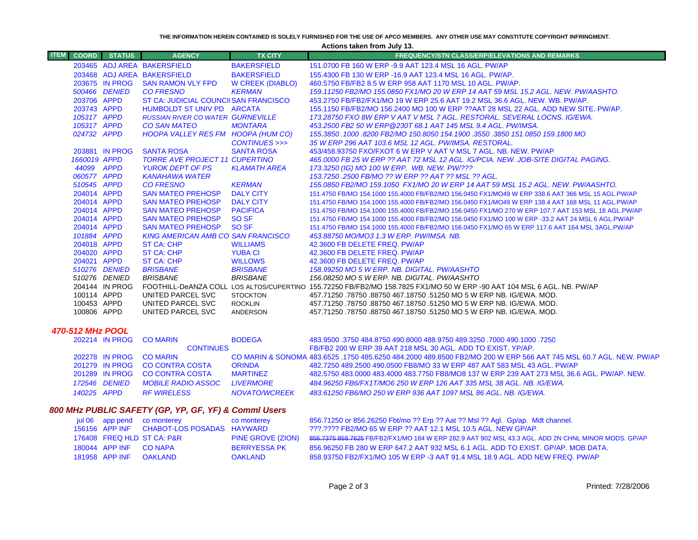**THE INFORMATION HEREIN CONTAINED IS SOLELY FURNISHED FOR THE USE OF APCO MEMBERS. ANY OTHER USE MAY CONSTITUTE COPYRIGHT INFRINGMENT.**

**Actions taken from July 13.**

| <b>ITEM</b>                                          | <b>COORD</b>            | <b>STATUS</b>  | <b>AGENCY</b>                             | <b>TX CITY</b>          | <b>FREQUENCY/STN CLASS/ERP/ELEVATIONS AND REMARKS</b>                                                                                   |
|------------------------------------------------------|-------------------------|----------------|-------------------------------------------|-------------------------|-----------------------------------------------------------------------------------------------------------------------------------------|
|                                                      |                         |                | 203465 ADJ AREA BAKERSFIELD               | <b>BAKERSFIELD</b>      | 151.0700 FB 160 W ERP -9.9 AAT 123.4 MSL 16 AGL. PW/AP                                                                                  |
|                                                      |                         |                | 203468 ADJ AREA BAKERSFIELD               | <b>BAKERSFIELD</b>      | 155,4300 FB 130 W ERP -16.9 AAT 123.4 MSL 16 AGL, PW/AP.                                                                                |
|                                                      |                         | 203675 IN PROG | <b>SAN RAMON VLY FPD</b>                  | <b>W CREEK (DIABLO)</b> | 460.5750 FB/FB2 8.5 W ERP 958 AAT 1170 MSL 10 AGL. PW/AP.                                                                               |
|                                                      |                         | 500466 DENIED  | <b>CO FRESNO</b>                          | <b>KERMAN</b>           | 159.11250 FB2/MO 155.0850 FX1/MO 20 W ERP 14 AAT 59 MSL 15.2 AGL. NEW. PW/AASHTO.                                                       |
|                                                      | 203706 APPD             |                | ST CA: JUDICIAL COUNCIISAN FRANCISCO      |                         | 453.2750 FB/FB2/FX1/MO 19 W ERP 25.6 AAT 19.2 MSL 36.6 AGL. NEW. WB. PW/AP.                                                             |
|                                                      | 203743 APPD             |                | HUMBOLDT ST UNIV PD ARCATA                |                         | 155.1150 FB/FB2/MO 156.2400 MO 100 W ERP ??AAT 28 MSL 22 AGL. ADD NEW SITE. PW/AP.                                                      |
|                                                      | 105317 APPD             |                | <b>RUSSIAN RIVER CO WATER GURNEVILLE</b>  |                         | 173.28750 FXO 8W ERP V AAT V MSL 7 AGL. RESTORAL. SEVERAL LOCNS. IG/EWA.                                                                |
|                                                      | 105317 APPD             |                | <b>CO SAN MATEO</b>                       | <b>MONTARA</b>          | 453.2500 FB2 50 W ERP@230T 68.1 AAT 145 MSL 9.4 AGL. PW/IMSA.                                                                           |
|                                                      | 024732 APPD             |                | HOOPA VALLEY RES FM HOOPA (HUM CO)        | CONTINUES >>>           | 155.3850 .1000 .8200 FB2/MO 150.8050 154.1900 .3550 .3850 151.0850 159.1800 MO<br>35 W ERP 296 AAT 103.6 MSL 12 AGL. PW/IMSA. RESTORAL. |
|                                                      |                         | 203881 IN PROG | <b>SANTA ROSA</b>                         | <b>SANTA ROSA</b>       | 453/458.93750 FXO/FXOT 6 W ERP V AAT V MSL 7 AGL, NB, NEW, PW/AP                                                                        |
|                                                      | 1660019 APPD            |                | <b>TORRE AVE PROJECT 11 CUPERTINO</b>     |                         | 465,0000 FB 25 W ERP ?? AAT 72 MSL 12 AGL. IG/PCIA. NEW. JOB-SITE DIGITAL PAGING.                                                       |
|                                                      | 44099 APPD              |                | <b>YUROK DEPT OF PS</b>                   | <b>KLAMATH AREA</b>     | 173.3250 (IG) MO 100 W ERP. WB. NEW. PW/???                                                                                             |
|                                                      | 060577 APPD             |                | <b>KANAHAWA WATER</b>                     |                         | 153.7250 .2500 FB/MO ?? W ERP ?? AAT ?? MSL ?? AGL.                                                                                     |
|                                                      | 510545 APPD             |                | <b>CO FRESNO</b>                          | <b>KERMAN</b>           | 155.0850 FB2/MO 159.1050 FX1/MO 20 W ERP 14 AAT 59 MSL 15.2 AGL. NEW. PW/AASHTO.                                                        |
|                                                      | 204014 APPD             |                | <b>SAN MATEO PREHOSP</b>                  | <b>DALY CITY</b>        | 151.4750 FB/MO 154.1000 155.4000 FB/FB2/MO 156.0450 FX1/MO49 W ERP 338.6 AAT 366 MSL 15 AGL.PW/AP                                       |
|                                                      | 204014 APPD             |                | <b>SAN MATEO PREHOSP</b>                  | <b>DALY CITY</b>        | 151.4750 FB/MO 154.1000 155.4000 FB/FB2/MO 156.0450 FX1/MO49 W ERP 138.4 AAT 168 MSL 11 AGL.PW/AP                                       |
|                                                      | 204014 APPD             |                | <b>SAN MATEO PREHOSP</b>                  | <b>PACIFICA</b>         | 151.4750 FB/MO 154.1000 155.4000 FB/FB2/MO 156.0450 FX1/MO 270 W ERP 107.7 AAT 153 MSL 18 AGL.PW/AP                                     |
|                                                      | 204014 APPD             |                | <b>SAN MATEO PREHOSP</b>                  | SO <sub>SF</sub>        | 151.4750 FB/MO 154.1000 155.4000 FB/FB2/MO 156.0450 FX1/MO 100 W ERP -33.2 AAT 24 MSL 6 AGL.PW/AP                                       |
|                                                      | 204014 APPD             |                | <b>SAN MATEO PREHOSP</b>                  | SO <sub>SF</sub>        | 151.4750 FB/MO 154.1000 155.4000 FB/FB2/MO 156.0450 FX1/MO 65 W ERP 117.6 AAT 164 MSL 3AGL.PW/AP                                        |
|                                                      | 101884 APPD             |                | <b>KING AMERICAN AMB CO SAN FRANCISCO</b> |                         | 453.88750 MO/MO3 1.3 W ERP. PW/IMSA. NB.                                                                                                |
|                                                      | 204018 APPD             |                | <b>ST CA: CHP</b>                         | <b>WILLIAMS</b>         | 42.3600 FB DELETE FREQ. PW/AP                                                                                                           |
|                                                      | 204020 APPD             |                | <b>ST CA: CHP</b>                         | <b>YUBA CI</b>          | 42.3600 FB DELETE FREQ. PW/AP                                                                                                           |
|                                                      | 204021 APPD             |                | <b>ST CA: CHP</b>                         | <b>WILLOWS</b>          | 42.3600 FB DELETE FREQ. PW/AP                                                                                                           |
|                                                      |                         | 510276 DENIED  | <b>BRISBANE</b>                           | <b>BRISBANE</b>         | 158.99250 MO 5 W ERP. NB. DIGITAL. PW/AASHTO                                                                                            |
|                                                      |                         | 510276 DENIED  | <b>BRISBANE</b>                           | <b>BRISBANE</b>         | 156.08250 MO 5 W ERP. NB. DIGITAL. PW/AASHTO                                                                                            |
|                                                      |                         | 204144 IN PROG |                                           |                         | FOOTHILL-DeANZA COLL LOS ALTOS/CUPERTINO 155.72250 FB/FB2/MO 158.7825 FX1/MO 50 W ERP -90 AAT 104 MSL 6 AGL. NB. PW/AP                  |
|                                                      | 100114 APPD             |                | UNITED PARCEL SVC                         | <b>STOCKTON</b>         | 457.71250 .78750 .88750 467.18750 .51250 MO 5 W ERP NB. IG/EWA. MOD.                                                                    |
|                                                      | 100453 APPD             |                | UNITED PARCEL SVC                         | <b>ROCKLIN</b>          | 457.71250 .78750 .88750 467.18750 .51250 MO 5 W ERP NB. IG/EWA. MOD.                                                                    |
|                                                      | 100806 APPD             |                | UNITED PARCEL SVC                         | ANDERSON                | .457.71250 .78750 .88750 467.18750 .51250 MO 5 W ERP NB. IG/EWA. MOD                                                                    |
|                                                      | <b>470-512 MHz POOL</b> |                |                                           |                         |                                                                                                                                         |
|                                                      |                         | 202214 IN PROG | <b>CO MARIN</b>                           | <b>BODEGA</b>           | 483,9500 .3750 484.8750 490.8000 488.9750 489.3250 .7000 490.1000 .7250                                                                 |
|                                                      |                         |                | <b>CONTINUES</b>                          |                         | FB/FB2 200 W ERP 39 AAT 218 MSL 30 AGL. ADD TO EXIST. YP/AP.                                                                            |
|                                                      |                         | 202278 IN PROG | <b>CO MARIN</b>                           |                         | CO MARIN & SONOMA 483.6525 .1750 485.6250 484.2000 489.8500 FB2/MO 200 W ERP 566 AAT 745 MSL 60.7 AGL. NEW. PW/AP                       |
|                                                      |                         | 201279 IN PROG | <b>CO CONTRA COSTA</b>                    | <b>ORINDA</b>           | 482.7250 489.2500 490.0500 FB8/MO 33 W ERP 487 AAT 583 MSL 43 AGL. PW/AP                                                                |
|                                                      |                         | 201289 IN PROG | <b>CO CONTRA COSTA</b>                    | <b>MARTINEZ</b>         | 482,5750 483,0000 483,4000 483,7750 FB8/MO8 137 W ERP 239 AAT 273 MSL 36.6 AGL, PW/AP, NEW,                                             |
|                                                      |                         | 172546 DENIED  | <b>MOBILE RADIO ASSOC</b>                 | <b>LIVERMORE</b>        | 484.96250 FB6/FX1T/MO6 250 W ERP 126 AAT 335 MSL 38 AGL. NB. IG/EWA.                                                                    |
|                                                      | 140225 APPD             |                | <b>RF WIRELESS</b>                        | <b>NOVATO/WCREEK</b>    | 483.61250 FB6/MO 250 W ERP 936 AAT 1097 MSL 86 AGL, NB, IG/EWA,                                                                         |
| 800 MHz PUBLIC SAFETY (GP, YP, GF, YF) & Comml Users |                         |                |                                           |                         |                                                                                                                                         |
|                                                      |                         |                | jul 06 app pend co monterey               | co monterey             | 856.71250 or 856.26250 Fbt/mo ?? Erp ?? Aat ?? Msl ?? Agl. Gp/ap. Mdt channel.                                                          |
|                                                      |                         | 156156 APP INF | CHABOT-LOS POSADAS HAYWARD                |                         | ???.???? FB2/MO 65 W ERP ?? AAT 12.1 MSL 10.5 AGL. NEW GP/AP.                                                                           |
|                                                      |                         |                |                                           |                         |                                                                                                                                         |

|                        | 176408 FREQ HLD ST CA: P&R |                     | PINE GROVE (ZION) 856.7375 858.7625 FB/FB2/FX1/MO 184 W ERP 282.9 AAT 902 MSL 43.3 AGL. ADD 2N CHNL MINOR MODS. GP/AP |
|------------------------|----------------------------|---------------------|-----------------------------------------------------------------------------------------------------------------------|
| 180044 APP INF CO NAPA |                            | <b>BERRYESSA PK</b> | 856.96250 FB 280 W ERP 647.2 AAT 932 MSL 6.1 AGL. ADD TO EXIST. GP/AP. MOB DATA.                                      |
| 181958 APP INF         | OAKLAND                    | OAKLAND             | 858.93750 FB2/FX1/MO 105 W ERP -3 AAT 91.4 MSL 18.9 AGL. ADD NEW FREQ. PW/AP                                          |